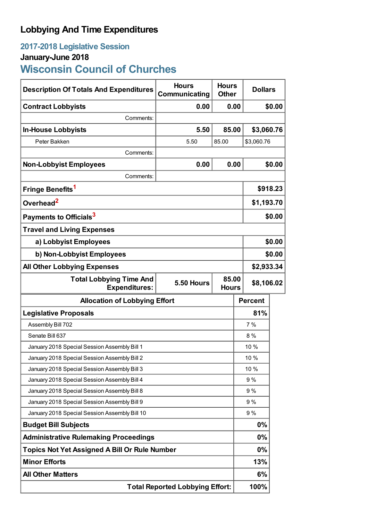## **Lobbying And Time Expenditures**

# **2017-2018 Legislative Session**

### **January-June 2018**

# **Wisconsin Council of Churches**

| <b>Description Of Totals And Expenditures</b>          | <b>Hours</b><br>Communicating | <b>Hours</b><br><b>Other</b> | <b>Dollars</b>                      |            |  |
|--------------------------------------------------------|-------------------------------|------------------------------|-------------------------------------|------------|--|
| <b>Contract Lobbyists</b>                              | 0.00                          | 0.00                         |                                     | \$0.00     |  |
| Comments:                                              |                               |                              |                                     |            |  |
| <b>In-House Lobbyists</b>                              | 5.50                          | 85.00                        | \$3,060.76                          |            |  |
| Peter Bakken                                           | 5.50                          | 85.00                        | \$3,060.76                          |            |  |
| Comments:                                              |                               |                              |                                     |            |  |
| <b>Non-Lobbyist Employees</b>                          | 0.00                          | 0.00                         |                                     | \$0.00     |  |
| Comments:                                              |                               |                              |                                     |            |  |
| Fringe Benefits <sup>1</sup>                           |                               |                              |                                     | \$918.23   |  |
| Overhead <sup>2</sup>                                  |                               |                              |                                     | \$1,193.70 |  |
| Payments to Officials <sup>3</sup>                     |                               |                              |                                     | \$0.00     |  |
| <b>Travel and Living Expenses</b>                      |                               |                              |                                     |            |  |
| a) Lobbyist Employees                                  |                               |                              |                                     | \$0.00     |  |
| b) Non-Lobbyist Employees                              |                               |                              |                                     | \$0.00     |  |
| <b>All Other Lobbying Expenses</b>                     |                               |                              | \$2,933.34                          |            |  |
| <b>Total Lobbying Time And</b><br><b>Expenditures:</b> | <b>5.50 Hours</b>             |                              | 85.00<br>\$8,106.02<br><b>Hours</b> |            |  |
| <b>Allocation of Lobbying Effort</b>                   |                               |                              | <b>Percent</b>                      |            |  |
| <b>Legislative Proposals</b>                           |                               |                              | 81%                                 |            |  |
| Assembly Bill 702                                      |                               |                              | 7%                                  |            |  |
| Senate Bill 637                                        |                               |                              | 8%                                  |            |  |
| January 2018 Special Session Assembly Bill 1           |                               |                              | 10 %                                |            |  |
| January 2018 Special Session Assembly Bill 2           |                               |                              | 10 %                                |            |  |
| January 2018 Special Session Assembly Bill 3           |                               |                              | 10 %                                |            |  |
| January 2018 Special Session Assembly Bill 4           |                               |                              | 9%                                  |            |  |
| January 2018 Special Session Assembly Bill 8           |                               |                              | 9%                                  |            |  |
| January 2018 Special Session Assembly Bill 9           |                               |                              | 9%                                  |            |  |
| January 2018 Special Session Assembly Bill 10          |                               |                              | 9%                                  |            |  |
| <b>Budget Bill Subjects</b>                            |                               |                              | $0\%$                               |            |  |
| <b>Administrative Rulemaking Proceedings</b>           |                               |                              | $0\%$                               |            |  |
| Topics Not Yet Assigned A Bill Or Rule Number          |                               |                              | 0%                                  |            |  |
| <b>Minor Efforts</b>                                   |                               |                              | 13%                                 |            |  |
| <b>All Other Matters</b>                               |                               |                              | 6%                                  |            |  |
| <b>Total Reported Lobbying Effort:</b>                 |                               |                              | 100%                                |            |  |